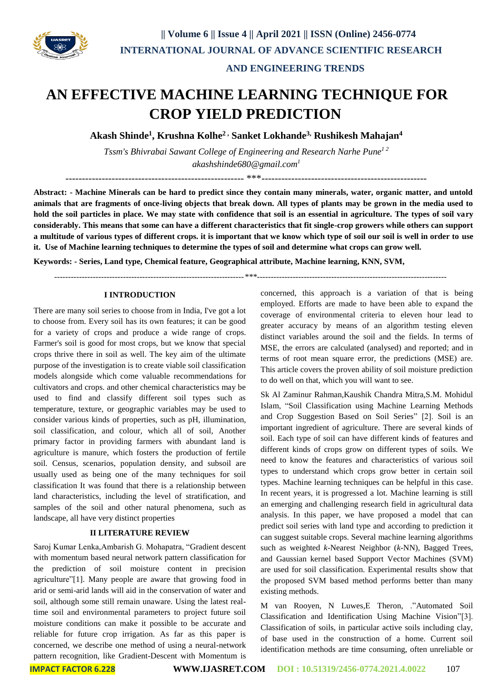

## **AN EFFECTIVE MACHINE LEARNING TECHNIQUE FOR CROP YIELD PREDICTION**

**Akash Shinde<sup>1</sup> , Krushna Kolhe2 , Sanket Lokhande3, Rushikesh Mahajan<sup>4</sup>**

*Tssm's Bhivrabai Sawant College of Engineering and Research Narhe Pune1 2 akashshinde680@gmail.com<sup>1</sup>*

------------------------------------------------------ \*\*\*--------------------------------------------------

**Abstract: - Machine Minerals can be hard to predict since they contain many minerals, water, organic matter, and untold animals that are fragments of once-living objects that break down. All types of plants may be grown in the media used to hold the soil particles in place. We may state with confidence that soil is an essential in agriculture. The types of soil vary considerably. This means that some can have a different characteristics that fit single-crop growers while others can support a multitude of various types of different crops. it is important that we know which type of soil our soil is well in order to use it. Use of Machine learning techniques to determine the types of soil and determine what crops can grow well.**

**Keywords: - Series, Land type, Chemical feature, Geographical attribute, Machine learning, KNN, SVM,** 

 *---------------------------------------------------------------------\*\*\*---------------------------------------------------------------------*

#### **I INTRODUCTION**

There are many soil series to choose from in India, I've got a lot to choose from. Every soil has its own features; it can be good for a variety of crops and produce a wide range of crops. Farmer's soil is good for most crops, but we know that special crops thrive there in soil as well. The key aim of the ultimate purpose of the investigation is to create viable soil classification models alongside which come valuable recommendations for cultivators and crops. and other chemical characteristics may be used to find and classify different soil types such as temperature, texture, or geographic variables may be used to consider various kinds of properties, such as pH, illumination, soil classification, and colour, which all of soil, Another primary factor in providing farmers with abundant land is agriculture is manure, which fosters the production of fertile soil. Census, scenarios, population density, and subsoil are usually used as being one of the many techniques for soil classification It was found that there is a relationship between land characteristics, including the level of stratification, and samples of the soil and other natural phenomena, such as landscape, all have very distinct properties

#### **II LITERATURE REVIEW**

Saroj Kumar Lenka,Ambarish G. Mohapatra, "Gradient descent with momentum based neural network pattern classification for the prediction of soil moisture content in precision agriculture"[1]. Many people are aware that growing food in arid or semi-arid lands will aid in the conservation of water and soil, although some still remain unaware. Using the latest realtime soil and environmental parameters to project future soil moisture conditions can make it possible to be accurate and reliable for future crop irrigation. As far as this paper is concerned, we describe one method of using a neural-network pattern recognition, like Gradient-Descent with Momentum is concerned, this approach is a variation of that is being employed. Efforts are made to have been able to expand the coverage of environmental criteria to eleven hour lead to greater accuracy by means of an algorithm testing eleven distinct variables around the soil and the fields. In terms of MSE, the errors are calculated (analysed) and reported; and in terms of root mean square error, the predictions (MSE) are. This article covers the proven ability of soil moisture prediction to do well on that, which you will want to see.

Sk Al Zaminur Rahman,Kaushik Chandra Mitra,S.M. Mohidul Islam, "Soil Classification using Machine Learning Methods and Crop Suggestion Based on Soil Series" [2]. Soil is an important ingredient of agriculture. There are several kinds of soil. Each type of soil can have different kinds of features and different kinds of crops grow on different types of soils. We need to know the features and characteristics of various soil types to understand which crops grow better in certain soil types. Machine learning techniques can be helpful in this case. In recent years, it is progressed a lot. Machine learning is still an emerging and challenging research field in agricultural data analysis. In this paper, we have proposed a model that can predict soil series with land type and according to prediction it can suggest suitable crops. Several machine learning algorithms such as weighted *k*-Nearest Neighbor (*k*-NN), Bagged Trees, and Gaussian kernel based Support Vector Machines (SVM) are used for soil classification. Experimental results show that the proposed SVM based method performs better than many existing methods.

M van Rooyen, N Luwes,E Theron, ."Automated Soil Classification and Identification Using Machine Vision"[3]. Classification of soils, in particular active soils including clay, of base used in the construction of a home. Current soil identification methods are time consuming, often unreliable or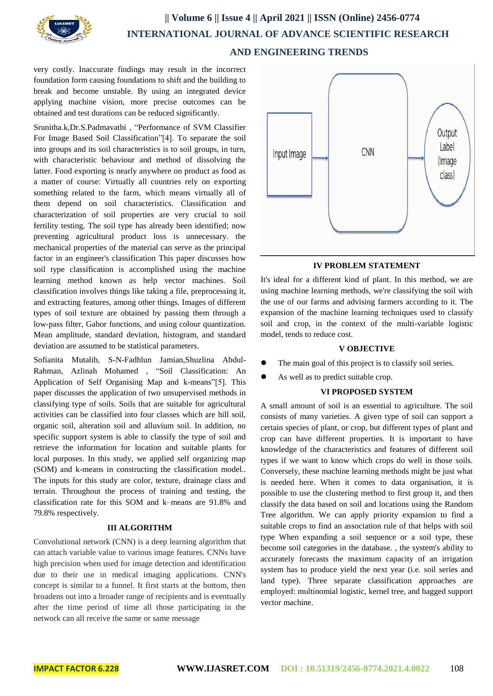

### **|| Volume 6 || Issue 4 || April 2021 || ISSN (Online) 2456-0774 INTERNATIONAL JOURNAL OF ADVANCE SCIENTIFIC RESEARCH AND ENGINEERING TRENDS**

very costly. Inaccurate findings may result in the incorrect foundation form causing foundations to shift and the building to break and become unstable. By using an integrated device applying machine vision, more precise outcomes can be obtained and test durations can be reduced significantly.

Srunitha.k,Dr.S.Padmavathi , "Performance of SVM Classifier For Image Based Soil Classification"[4]. To separate the soil into groups and its soil characteristics is to soil groups, in turn, with characteristic behaviour and method of dissolving the latter. Food exporting is nearly anywhere on product as food as a matter of course: Virtually all countries rely on exporting something related to the farm, which means virtually all of them depend on soil characteristics. Classification and characterization of soil properties are very crucial to soil fertility testing. The soil type has already been identified; now preventing agricultural product loss is unnecessary. the mechanical properties of the material can serve as the principal factor in an engineer's classification This paper discusses how soil type classification is accomplished using the machine learning method known as help vector machines. Soil classification involves things like taking a file, preprocessing it, and extracting features, among other things. Images of different types of soil texture are obtained by passing them through a low-pass filter, Gabor functions, and using colour quantization. Mean amplitude, standard deviation, histogram, and standard deviation are assumed to be statistical parameters.

Sofianita Mutalib, S-N-Fadhlun Jamian,Shuzlina Abdul-Rahman, Azlinah Mohamed , "Soil Classification: An Application of Self Organising Map and k-means"[5]. This paper discusses the application of two unsupervised methods in classifying type of soils. Soils that are suitable for agricultural activities can be classified into four classes which are hill soil, organic soil, alteration soil and alluvium soil. In addition, no specific support system is able to classify the type of soil and retrieve the information for location and suitable plants for local purposes. In this study, we applied self organizing map (SOM) and k-means in constructing the classification model.. The inputs for this study are color, texture, drainage class and terrain. Throughout the process of training and testing, the classification rate for this SOM and k–means are 91.8% and 79.8% respectively.

#### **III ALGORITHM**

Convolutional network (CNN) is a deep learning algorithm that can attach variable value to various image features. CNNs have high precision when used for image detection and identification due to their use in medical imaging applications. CNN's concept is similar to a funnel. It first starts at the bottom, then broadens out into a broader range of recipients and is eventually after the time period of time all those participating in the network can all receive the same or same message



#### **IV PROBLEM STATEMENT**

It's ideal for a different kind of plant. In this method, we are using machine learning methods, we're classifying the soil with the use of our farms and advising farmers according to it. The expansion of the machine learning techniques used to classify soil and crop, in the context of the multi-variable logistic model, tends to reduce cost.

#### **V OBJECTIVE**

- The main goal of this project is to classify soil series.
- As well as to predict suitable crop.

#### **VI PROPOSED SYSTEM**

A small amount of soil is an essential to agriculture. The soil consists of many varieties. A given type of soil can support a certain species of plant, or crop, but different types of plant and crop can have different properties. It is important to have knowledge of the characteristics and features of different soil types if we want to know which crops do well in those soils. Conversely, these machine learning methods might be just what is needed here. When it comes to data organisation, it is possible to use the clustering method to first group it, and then classify the data based on soil and locations using the Random Tree algorithm. We can apply priority expansion to find a suitable crops to find an association rule of that helps with soil type When expanding a soil sequence or a soil type, these become soil categories in the database. , the system's ability to accurately forecasts the maximum capacity of an irrigation system has to produce yield the next year (i.e. soil series and land type). Three separate classification approaches are employed: multinomial logistic, kernel tree, and bagged support vector machine.